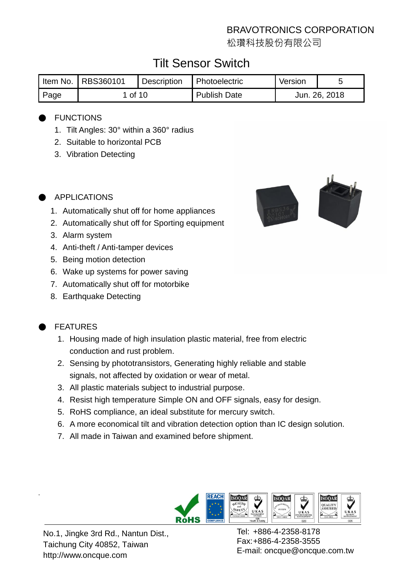松瓚科技股份有限公司

# Tilt Sensor Switch

|      | I Item No.   RBS360101 | Description | Photoelectric       | Version       |  |
|------|------------------------|-------------|---------------------|---------------|--|
| Page | 1 of 10                |             | <b>Publish Date</b> | Jun. 26, 2018 |  |

#### **FUNCTIONS**

- 1. Tilt Angles: 30° within a 360° radius
- 2. Suitable to horizontal PCB
- 3. Vibration Detecting



- 1. Automatically shut off for home appliances
- 2. Automatically shut off for Sporting equipment
- 3. Alarm system
- 4. Anti-theft / Anti-tamper devices
- 5. Being motion detection
- 6. Wake up systems for power saving
- 7. Automatically shut off for motorbike
- 8. Earthquake Detecting



## **FEATURES**

.

- 1. Housing made of high insulation plastic material, free from electric conduction and rust problem.
- 2. Sensing by phototransistors, Generating highly reliable and stable signals, not affected by oxidation or wear of metal.
- 3. All plastic materials subject to industrial purpose.
- 4. Resist high temperature Simple ON and OFF signals, easy for design.
- 5. RoHS compliance, an ideal substitute for mercury switch.
- 6. A more economical tilt and vibration detection option than IC design solution.
- 7. All made in Taiwan and examined before shipment.



No.1, Jingke 3rd Rd., Nantun Dist., Taichung City 40852, Taiwan http://www.oncque.com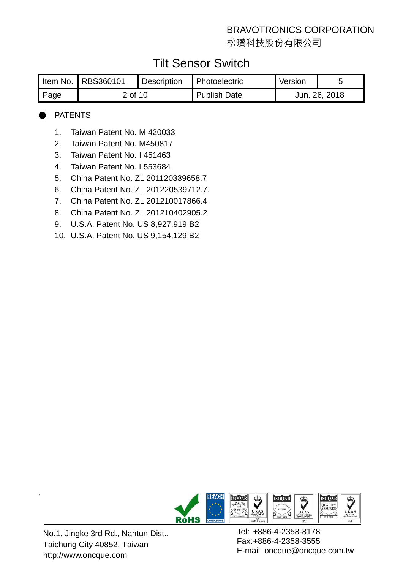松瓚科技股份有限公司

# Tilt Sensor Switch

|      | I Item No.   RBS360101 | <b>Description</b> | 1 Photoelectric     | Version |               |
|------|------------------------|--------------------|---------------------|---------|---------------|
| Page | 2 of 10                |                    | <b>Publish Date</b> |         | Jun. 26, 2018 |

#### **PATENTS**

- 1. Taiwan Patent No. M 420033
- 2. Taiwan Patent No. M450817
- 3. Taiwan Patent No. I 451463
- 4. Taiwan Patent No. I 553684
- 5. China Patent No. ZL 201120339658.7
- 6. China Patent No. ZL 201220539712.7.
- 7. China Patent No. ZL 201210017866.4
- 8. China Patent No. ZL 201210402905.2
- 9. U.S.A. Patent No. US 8,927,919 B2
- 10. U.S.A. Patent No. US 9,154,129 B2



No.1, Jingke 3rd Rd., Nantun Dist., Taichung City 40852, Taiwan http://www.oncque.com

.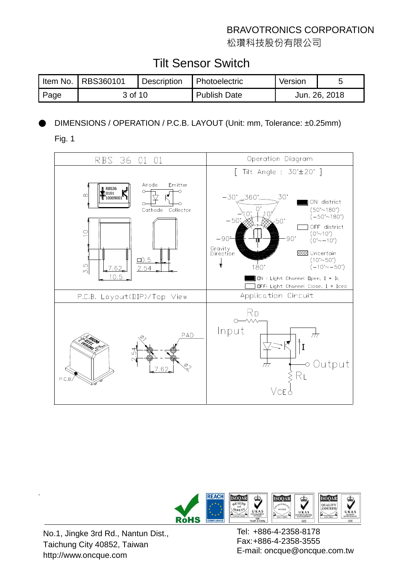松瓚科技股份有限公司

# Tilt Sensor Switch

|      | Item No.   RBS360101 | Description | <b>Photoelectric</b> | Version       |  |
|------|----------------------|-------------|----------------------|---------------|--|
| Page | 3 of 10              |             | <b>Publish Date</b>  | Jun. 26, 2018 |  |

## DIMENSIONS / OPERATION / P.C.B. LAYOUT (Unit: mm, Tolerance: ±0.25mm)

Fig. 1





No.1, Jingke 3rd Rd., Nantun Dist., Taichung City 40852, Taiwan http://www.oncque.com

.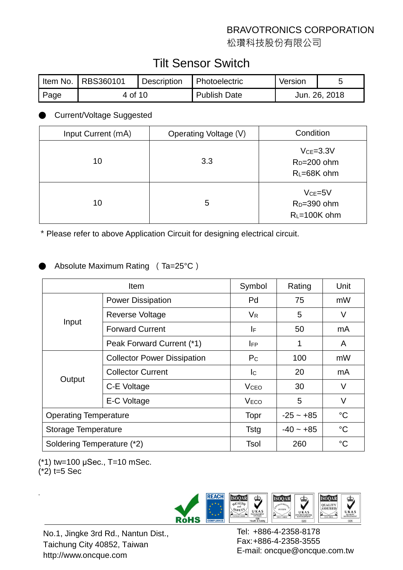松瓚科技股份有限公司

# Tilt Sensor Switch

|      | Item No.   RBS360101 | Description | <b>Photoelectric</b> | Version       |  |
|------|----------------------|-------------|----------------------|---------------|--|
| Page | 4 of 10              |             | <b>Publish Date</b>  | Jun. 26, 2018 |  |

#### **Current/Voltage Suggested**

| Input Current (mA) | Operating Voltage (V) | Condition                                               |
|--------------------|-----------------------|---------------------------------------------------------|
| 10                 | 3.3                   | $Vce = 3.3V$<br>$R_D=200$ ohm<br>RL=68K ohm             |
| 10                 | 5                     | $VCE=5V$<br>R <sub>D</sub> =390 ohm<br>$R_L = 100K$ ohm |

\*Please refer to above Application Circuit for designing electrical circuit.

#### Absolute Maximum Rating (Ta=25°C)

|                              | <b>Item</b>                        | Symbol                  | Rating          | Unit        |
|------------------------------|------------------------------------|-------------------------|-----------------|-------------|
|                              | <b>Power Dissipation</b>           | Pd                      | 75              | mW          |
|                              | Reverse Voltage                    | $V_{\mathsf{R}}$        | 5               | V           |
| Input                        | <b>Forward Current</b>             | I۴                      | 50              | mA          |
|                              | Peak Forward Current (*1)          | <b>IFP</b>              | 1               | A           |
|                              | <b>Collector Power Dissipation</b> | P <sub>C</sub>          | 100             | mW          |
|                              | <b>Collector Current</b>           | lc.                     | 20              | mA          |
| Output                       | C-E Voltage                        | <b>V</b> <sub>CEO</sub> | 30              | V           |
|                              | E-C Voltage                        | <b>VECO</b>             | 5               | V           |
| <b>Operating Temperature</b> | Topr                               | $-25 - +85$             | $\rm ^{\circ}C$ |             |
| <b>Storage Temperature</b>   |                                    | <b>Tstg</b>             | $-40 - +85$     | $^{\circ}C$ |
| Soldering Temperature (*2)   | Tsol                               | 260                     | $^{\circ}C$     |             |

(\*1) tw=100 μSec., T=10 mSec.

 $(*2)$  t=5 Sec

.



No.1, Jingke 3rd Rd., Nantun Dist., Taichung City 40852, Taiwan http://www.oncque.com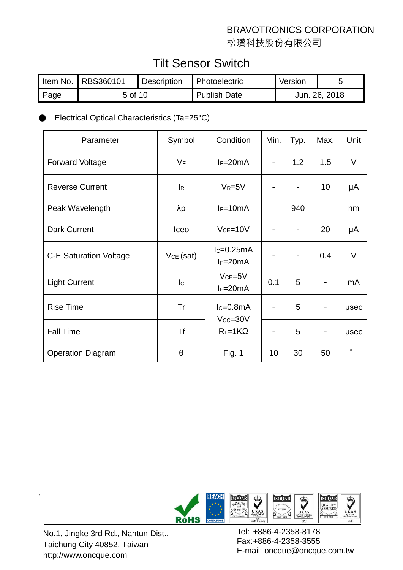松瓚科技股份有限公司

# Tilt Sensor Switch

|      | Item No.   RBS360101 | Description | <b>Photoelectric</b> | Version       |  |
|------|----------------------|-------------|----------------------|---------------|--|
| Page | 5 of 10              |             | Publish Date         | Jun. 26, 2018 |  |

#### Electrical Optical Characteristics (Ta=25°C)

| Parameter                     | Symbol                    | Condition                    | Min. | Typ. | Max. | Unit        |
|-------------------------------|---------------------------|------------------------------|------|------|------|-------------|
| <b>Forward Voltage</b>        | $V_F$                     | $I_F=20mA$                   |      | 1.2  | 1.5  | V           |
| <b>Reverse Current</b>        | $\mathsf{I}_{\mathsf{R}}$ | $V_R = 5V$                   |      |      | 10   | μA          |
| Peak Wavelength               | $\lambda p$               | $I_F=10mA$                   |      | 940  |      | nm          |
| <b>Dark Current</b>           | Iceo                      | $Vce = 10V$                  |      |      | 20   | μA          |
| <b>C-E Saturation Voltage</b> | $VCE$ (sat)               | $lc=0.25mA$<br>$I_F=20mA$    |      |      | 0.4  | $\vee$      |
| <b>Light Current</b>          | lc.                       | $VCE=5V$<br>$I_F=20mA$       | 0.1  | 5    |      | mA          |
| <b>Rise Time</b>              | Tr                        | $lc=0.8mA$<br>$V_{CC} = 30V$ |      | 5    |      | usec        |
| <b>Fall Time</b>              | <b>Tf</b>                 | $R_L = 1K\Omega$             |      | 5    |      | <b>µsec</b> |
| <b>Operation Diagram</b>      | θ                         | <b>Fig. 1</b>                | 10   | 30   | 50   | $\circ$     |



No.1, Jingke 3rd Rd., Nantun Dist., Taichung City 40852, Taiwan http://www.oncque.com

.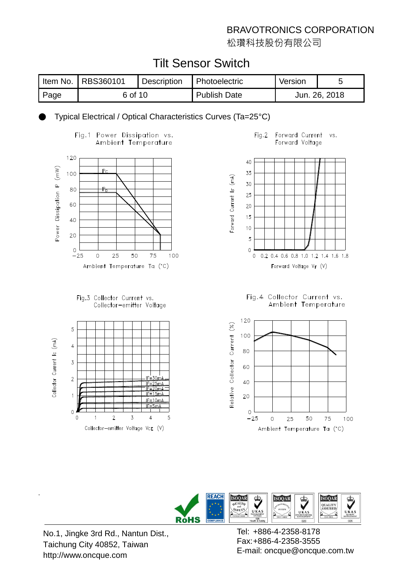松瓚科技股份有限公司

# Tilt Sensor Switch

|       | I Item No.   RBS360101 | <b>Description</b> | Photoelectric | Version       |  |
|-------|------------------------|--------------------|---------------|---------------|--|
| ⊩Page | 6 of 10                |                    | Publish Date  | Jun. 26, 2018 |  |

Typical Electrical / Optical Characteristics Curves (Ta=25°C)











Fig.4 Collector Current vs. Ambient Temperature





No.1, Jingke 3rd Rd., Nantun Dist., Taichung City 40852, Taiwan http://www.oncque.com

.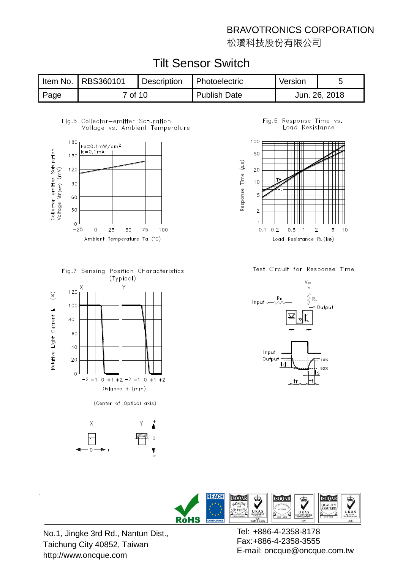松瓚科技股份有限公司

|      | Item No.   RBS360101 | <b>Description</b> | Photoelectric       | Version |               |
|------|----------------------|--------------------|---------------------|---------|---------------|
| Page | 7 of 10              |                    | <b>Publish Date</b> |         | Jun. 26, 2018 |

# Tilt Sensor Switch

#### Fig.5 Collector-emitter Saturation Voltage vs. Ambient Temperature



Fig.7 Sensing Position Characteristics (Typical)



(Center of Optical axis)



Fig.6 Response Time vs. Load Resistance



Test Circuit for Response Time





No.1, Jingke 3rd Rd., Nantun Dist., Taichung City 40852, Taiwan http://www.oncque.com

.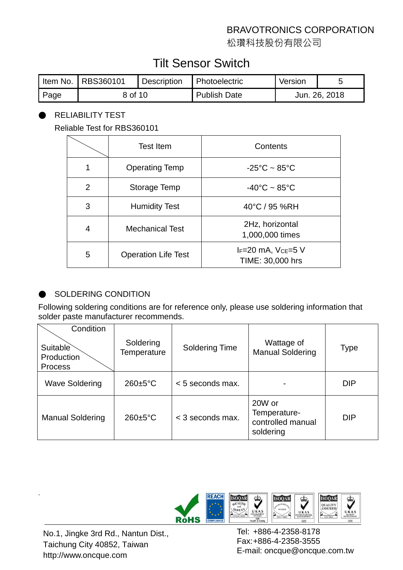松瓚科技股份有限公司

# Tilt Sensor Switch

|      | Item No.   RBS360101 | Description | <b>Photoelectric</b> | Version       |  |
|------|----------------------|-------------|----------------------|---------------|--|
| Page | 8 of 10              |             | <b>Publish Date</b>  | Jun. 26, 2018 |  |

#### RELIABILITY TEST

Reliable Test for RBS360101

|   | <b>Test Item</b>           | Contents                                           |
|---|----------------------------|----------------------------------------------------|
|   | <b>Operating Temp</b>      | $-25^{\circ}$ C ~ 85 $^{\circ}$ C                  |
| 2 | Storage Temp               | $-40^{\circ}$ C ~ 85 $^{\circ}$ C                  |
| 3 | <b>Humidity Test</b>       | 40°C / 95 %RH                                      |
| 4 | <b>Mechanical Test</b>     | 2Hz, horizontal<br>1,000,000 times                 |
| 5 | <b>Operation Life Test</b> | IF=20 mA, V <sub>CE</sub> =5 V<br>TIME: 30,000 hrs |

#### SOLDERING CONDITION

Following soldering conditions are for reference only, please use soldering information that solder paste manufacturer recommends.

| Condition<br>Suitable        | Soldering             | <b>Soldering Time</b> | Wattage of                                               | <b>Type</b> |
|------------------------------|-----------------------|-----------------------|----------------------------------------------------------|-------------|
| Production<br><b>Process</b> | Temperature           |                       | <b>Manual Soldering</b>                                  |             |
| <b>Wave Soldering</b>        | $260 \pm 5^{\circ}$ C | $< 5$ seconds max.    |                                                          | <b>DIP</b>  |
| <b>Manual Soldering</b>      | $260 \pm 5^{\circ}$ C | < 3 seconds max.      | 20W or<br>Temperature-<br>controlled manual<br>soldering | <b>DIP</b>  |



No.1, Jingke 3rd Rd., Nantun Dist., Taichung City 40852, Taiwan http://www.oncque.com

.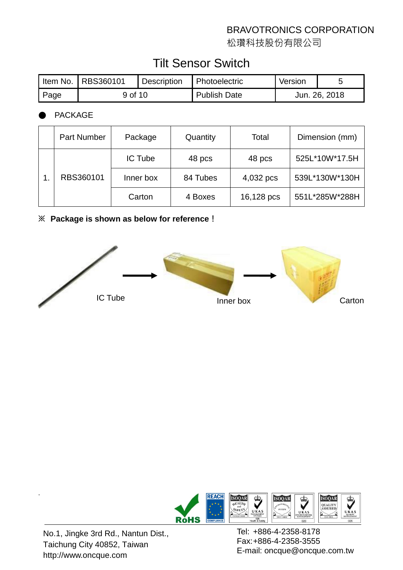松瓚科技股份有限公司

# Tilt Sensor Switch

|      | Item No.   RBS360101 | Description | <b>Photoelectric</b> | Version       |  |
|------|----------------------|-------------|----------------------|---------------|--|
| Page | 9 of 10              |             | <b>Publish Date</b>  | Jun. 26, 2018 |  |

#### **PACKAGE**

| Part Number | Package        | Quantity | Total      | Dimension (mm) |
|-------------|----------------|----------|------------|----------------|
|             | <b>IC Tube</b> | 48 pcs   | 48 pcs     | 525L*10W*17.5H |
| RBS360101   | Inner box      | 84 Tubes | 4,032 pcs  | 539L*130W*130H |
|             | Carton         | 4 Boxes  | 16,128 pcs | 551L*285W*288H |

#### **※ Package is shown as below for reference!**





No.1, Jingke 3rd Rd., Nantun Dist., Taichung City 40852, Taiwan http://www.oncque.com

.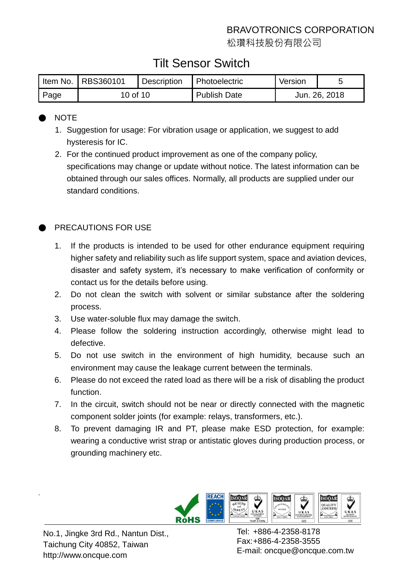松瓚科技股份有限公司

# Tilt Sensor Switch

|      | Item No.   RBS360101 | <b>Description</b> | <b>Photoelectric</b> | Version       |  |
|------|----------------------|--------------------|----------------------|---------------|--|
| Page | 10 of 10             |                    | <b>Publish Date</b>  | Jun. 26, 2018 |  |

#### ● NOTE

- 1. Suggestion for usage: For vibration usage or application, we suggest to add hysteresis for IC.
- 2. For the continued product improvement as one of the company policy, specifications may change or update without notice. The latest information can be obtained through our sales offices. Normally, all products are supplied under our standard conditions.

### PRECAUTIONS FOR USE

- 1. If the products is intended to be used for other endurance equipment requiring higher safety and reliability such as life support system, space and aviation devices, disaster and safety system, it's necessary to make verification of conformity or contact us for the details before using.
- 2. Do not clean the switch with solvent or similar substance after the soldering process.
- 3. Use water-soluble flux may damage the switch.
- 4. Please follow the soldering instruction accordingly, otherwise might lead to defective.
- 5. Do not use switch in the environment of high humidity, because such an environment may cause the leakage current between the terminals.
- 6. Please do not exceed the rated load as there will be a risk of disabling the product function.
- 7. In the circuit, switch should not be near or directly connected with the magnetic component solder joints (for example: relays, transformers, etc.).
- 8. To prevent damaging IR and PT, please make ESD protection, for example: wearing a conductive wrist strap or antistatic gloves during production process, or grounding machinery etc.



No.1, Jingke 3rd Rd., Nantun Dist., Taichung City 40852, Taiwan http://www.oncque.com

.